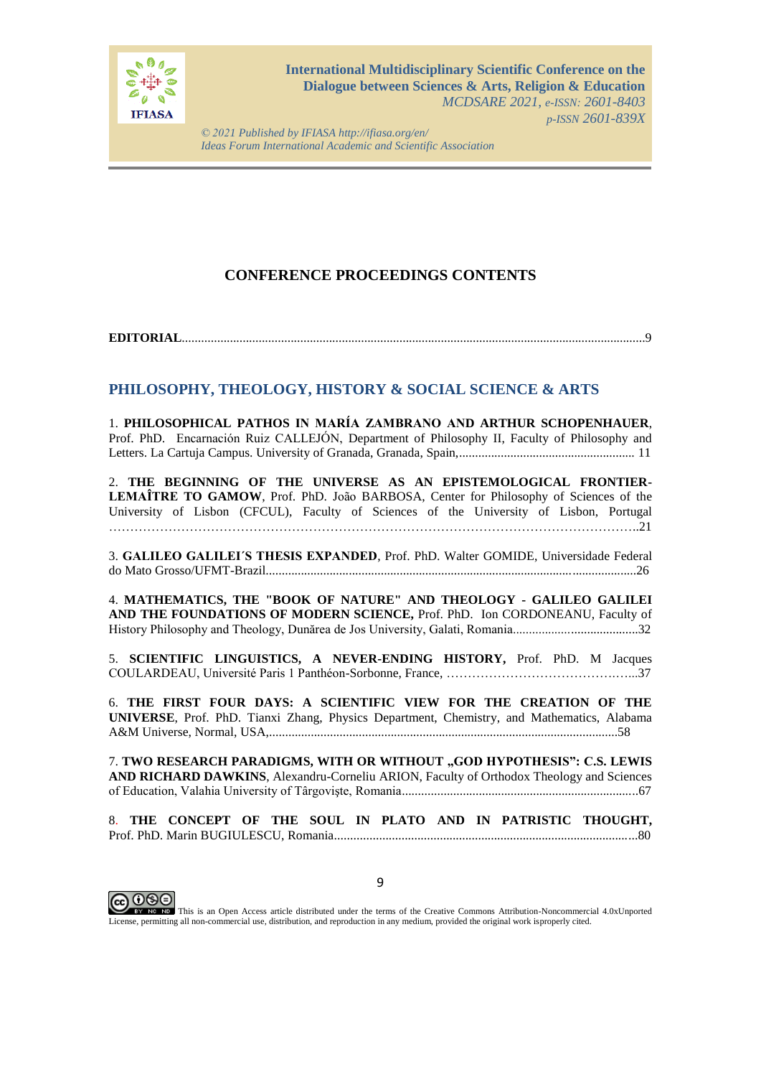

*© 2021 Published by IFIASA http://ifiasa.org/en/ Ideas Forum International Academic and Scientific Association*

## **CONFERENCE PROCEEDINGS CONTENTS**

**EDITORIAL**.................................................................................................................................................9

## **PHILOSOPHY, THEOLOGY, HISTORY & SOCIAL SCIENCE & ARTS**

1. **PHILOSOPHICAL PATHOS IN MARÍA ZAMBRANO AND ARTHUR SCHOPENHAUER**, Prof. PhD. Encarnación Ruiz CALLEJÓN, Department of Philosophy II, Faculty of Philosophy and Letters. La Cartuja Campus. University of Granada, Granada, Spain,....................................................... 11

2. **THE BEGINNING OF THE UNIVERSE AS AN EPISTEMOLOGICAL FRONTIER-LEMAÎTRE TO GAMOW**, Prof. PhD. João BARBOSA, Center for Philosophy of Sciences of the University of Lisbon (CFCUL), Faculty of Sciences of the University of Lisbon, Portugal ……………………………………………………………………………………………………………..21

3. **GALILEO GALILEI´S THESIS EXPANDED**, Prof. PhD. Walter GOMIDE, Universidade Federal do Mato Grosso/UFMT-Brazil....................................................................................................................26

4. **MATHEMATICS, THE "BOOK OF NATURE" AND THEOLOGY - GALILEO GALILEI AND THE FOUNDATIONS OF MODERN SCIENCE,** Prof. PhD. Ion CORDONEANU, Faculty of History Philosophy and Theology, Dunărea de Jos University, Galati, Romania.......................................32

5. **SCIENTIFIC LINGUISTICS, A NEVER-ENDING HISTORY,** Prof. PhD. M Jacques COULARDEAU, Université Paris 1 Panthéon-Sorbonne, France, ………………………………….…...37

6. **THE FIRST FOUR DAYS: A SCIENTIFIC VIEW FOR THE CREATION OF THE UNIVERSE**, Prof. PhD. Tianxi Zhang, Physics Department, Chemistry, and Mathematics, Alabama A&M Universe, Normal, USA,.............................................................................................................58

7. **TWO RESEARCH PARADIGMS, WITH OR WITHOUT "GOD HYPOTHESIS": C.S. LEWIS AND RICHARD DAWKINS**, Alexandru-Corneliu ARION, Faculty of Orthodox Theology and Sciences of Education, Valahia University of Târgovişte, Romania..........................................................................67

8. **THE CONCEPT OF THE SOUL IN PLATO AND IN PATRISTIC THOUGHT,** Prof. PhD. Marin BUGIULESCU, Romania...............................................................................................80



**COOOO**<br>This is an Open Access article distributed under the terms of the Creative Commons Attribution-Noncommercial 4.0xUnported License, permitting all non-commercial use, distribution, and reproduction in any medium, provided the original work isproperly cited.